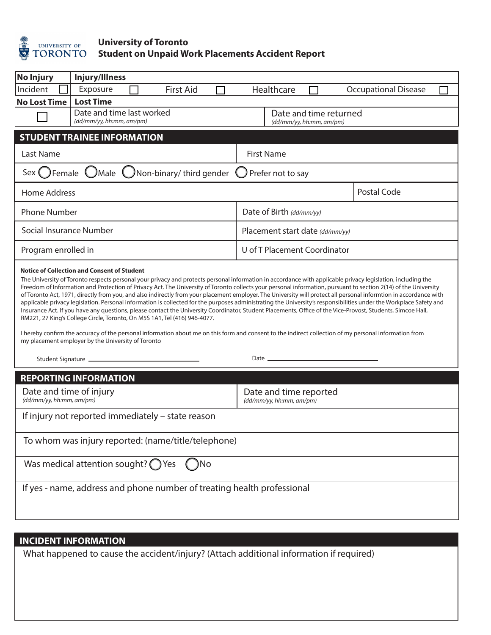

## **University of Toronto Student on Unpaid Work Placements Accident Report**

| <b>No Injury</b>                                                                                                                                                                                                                                                                                                                                                                                                                                                                                                                                                                                                                                                                                                                                                                                                                                                                                                                                                                                                                                                                                                                                                                            | Injury/Illness                                        |                                                    |                             |  |
|---------------------------------------------------------------------------------------------------------------------------------------------------------------------------------------------------------------------------------------------------------------------------------------------------------------------------------------------------------------------------------------------------------------------------------------------------------------------------------------------------------------------------------------------------------------------------------------------------------------------------------------------------------------------------------------------------------------------------------------------------------------------------------------------------------------------------------------------------------------------------------------------------------------------------------------------------------------------------------------------------------------------------------------------------------------------------------------------------------------------------------------------------------------------------------------------|-------------------------------------------------------|----------------------------------------------------|-----------------------------|--|
| Incident                                                                                                                                                                                                                                                                                                                                                                                                                                                                                                                                                                                                                                                                                                                                                                                                                                                                                                                                                                                                                                                                                                                                                                                    | Exposure<br><b>First Aid</b>                          | Healthcare                                         | <b>Occupational Disease</b> |  |
| <b>No Lost Time</b>                                                                                                                                                                                                                                                                                                                                                                                                                                                                                                                                                                                                                                                                                                                                                                                                                                                                                                                                                                                                                                                                                                                                                                         | <b>Lost Time</b>                                      |                                                    |                             |  |
|                                                                                                                                                                                                                                                                                                                                                                                                                                                                                                                                                                                                                                                                                                                                                                                                                                                                                                                                                                                                                                                                                                                                                                                             | Date and time last worked<br>(dd/mm/yy, hh:mm, am/pm) | Date and time returned<br>(dd/mm/yy, hh:mm, am/pm) |                             |  |
| <b>STUDENT TRAINEE INFORMATION</b>                                                                                                                                                                                                                                                                                                                                                                                                                                                                                                                                                                                                                                                                                                                                                                                                                                                                                                                                                                                                                                                                                                                                                          |                                                       |                                                    |                             |  |
| Last Name                                                                                                                                                                                                                                                                                                                                                                                                                                                                                                                                                                                                                                                                                                                                                                                                                                                                                                                                                                                                                                                                                                                                                                                   |                                                       | <b>First Name</b>                                  |                             |  |
| Sex ( ) Female UMale (<br>Non-binary/ third gender<br>Prefer not to say                                                                                                                                                                                                                                                                                                                                                                                                                                                                                                                                                                                                                                                                                                                                                                                                                                                                                                                                                                                                                                                                                                                     |                                                       |                                                    |                             |  |
| Home Address                                                                                                                                                                                                                                                                                                                                                                                                                                                                                                                                                                                                                                                                                                                                                                                                                                                                                                                                                                                                                                                                                                                                                                                |                                                       |                                                    | Postal Code                 |  |
| <b>Phone Number</b>                                                                                                                                                                                                                                                                                                                                                                                                                                                                                                                                                                                                                                                                                                                                                                                                                                                                                                                                                                                                                                                                                                                                                                         |                                                       | Date of Birth (dd/mm/yy)                           |                             |  |
| Social Insurance Number                                                                                                                                                                                                                                                                                                                                                                                                                                                                                                                                                                                                                                                                                                                                                                                                                                                                                                                                                                                                                                                                                                                                                                     |                                                       | Placement start date (dd/mm/yy)                    |                             |  |
| Program enrolled in                                                                                                                                                                                                                                                                                                                                                                                                                                                                                                                                                                                                                                                                                                                                                                                                                                                                                                                                                                                                                                                                                                                                                                         |                                                       | U of T Placement Coordinator                       |                             |  |
| <b>Notice of Collection and Consent of Student</b><br>The University of Toronto respects personal your privacy and protects personal information in accordance with applicable privacy legislation, including the<br>Freedom of Information and Protection of Privacy Act. The University of Toronto collects your personal information, pursuant to section 2(14) of the University<br>of Toronto Act, 1971, directly from you, and also indirectly from your placement employer. The University will protect all personal informtion in accordance with<br>applicable privacy legislation. Personal information is collected for the purposes administrating the University's responsibilities under the Workplace Safety and<br>Insurance Act. If you have any questions, please contact the University Coordinator, Student Placements, Office of the Vice-Provost, Students, Simcoe Hall,<br>RM221, 27 King's College Circle, Toronto, On M5S 1A1, Tel (416) 946-4077.<br>I hereby confirm the accuracy of the personal information about me on this form and consent to the indirect collection of my personal information from<br>my placement employer by the University of Toronto |                                                       |                                                    |                             |  |
|                                                                                                                                                                                                                                                                                                                                                                                                                                                                                                                                                                                                                                                                                                                                                                                                                                                                                                                                                                                                                                                                                                                                                                                             |                                                       |                                                    |                             |  |
| <b>REPORTING INFORMATION</b>                                                                                                                                                                                                                                                                                                                                                                                                                                                                                                                                                                                                                                                                                                                                                                                                                                                                                                                                                                                                                                                                                                                                                                |                                                       |                                                    |                             |  |
| Date and time of injury<br>(dd/mm/yy, hh:mm, am/pm)                                                                                                                                                                                                                                                                                                                                                                                                                                                                                                                                                                                                                                                                                                                                                                                                                                                                                                                                                                                                                                                                                                                                         |                                                       | Date and time reported<br>(dd/mm/yy, hh:mm, am/pm) |                             |  |
| If injury not reported immediately - state reason                                                                                                                                                                                                                                                                                                                                                                                                                                                                                                                                                                                                                                                                                                                                                                                                                                                                                                                                                                                                                                                                                                                                           |                                                       |                                                    |                             |  |
| To whom was injury reported: (name/title/telephone)                                                                                                                                                                                                                                                                                                                                                                                                                                                                                                                                                                                                                                                                                                                                                                                                                                                                                                                                                                                                                                                                                                                                         |                                                       |                                                    |                             |  |
| Was medical attention sought? $\bigcap$ Yes<br>)No                                                                                                                                                                                                                                                                                                                                                                                                                                                                                                                                                                                                                                                                                                                                                                                                                                                                                                                                                                                                                                                                                                                                          |                                                       |                                                    |                             |  |
| If yes - name, address and phone number of treating health professional                                                                                                                                                                                                                                                                                                                                                                                                                                                                                                                                                                                                                                                                                                                                                                                                                                                                                                                                                                                                                                                                                                                     |                                                       |                                                    |                             |  |
|                                                                                                                                                                                                                                                                                                                                                                                                                                                                                                                                                                                                                                                                                                                                                                                                                                                                                                                                                                                                                                                                                                                                                                                             |                                                       |                                                    |                             |  |
| <b>INCIDENT INFORMATION</b>                                                                                                                                                                                                                                                                                                                                                                                                                                                                                                                                                                                                                                                                                                                                                                                                                                                                                                                                                                                                                                                                                                                                                                 |                                                       |                                                    |                             |  |
| What happened to cause the accident/injury? (Attach additional information if required)                                                                                                                                                                                                                                                                                                                                                                                                                                                                                                                                                                                                                                                                                                                                                                                                                                                                                                                                                                                                                                                                                                     |                                                       |                                                    |                             |  |